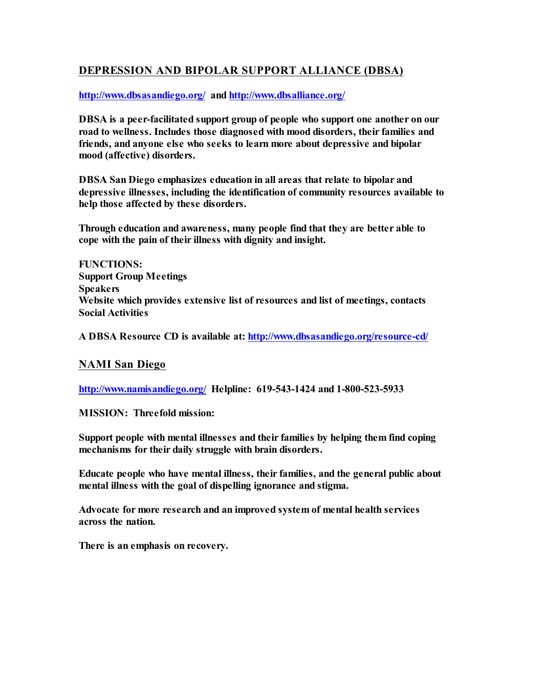# **DEPRESSION AND BIPOLAR SUPPORT ALLIANCE (DBSA)**

**[http://www.dbsasandiego.org/](http://www.dbsasandiego.org) and [http://www.dbsalliance.org/](http://www.dbsalliance.org)** 

**DBSA is a peer-facilitated support group of people who support one another on our road to wellness. Includes those diagnosed with mood disorders, their families and friends, and anyone else who seeks to learn more about depressive and bipolar mood (affective) disorders.** 

**DBSA San Diego emphasizes education in all areas that relate to bipolar and depressive illnesses, including the identification of community resources available to help those affected by these disorders.** 

**Through education and awareness, many people find that they are better able to cope with the pain of their illness with dignity and insight.** 

**FUNCTIONS: Support Group Meetings Speakers Website which provides extensive list of resources and list of meetings, contacts Social Activities**

**A DBSA Resource CD is available at: <http://www.dbsasandiego.org/resource-cd/>**

## **NAMI San Diego**

**[http://www.namisandiego.org/](http://www.namisandiego.org) Helpline: 619-543-1424 and 1-800-523-5933**

**MISSION: Threefold mission:**

**Support people with mental illnesses and their families by helping them find coping mechanisms for their daily struggle with brain disorders.** 

**Educate people who have mental illness, their families, and the general public about mental illness with the goal of dispelling ignorance and stigma.** 

**Advocate for more research and an improved system of mental health services across the nation.**

**There is an emphasis on recovery.**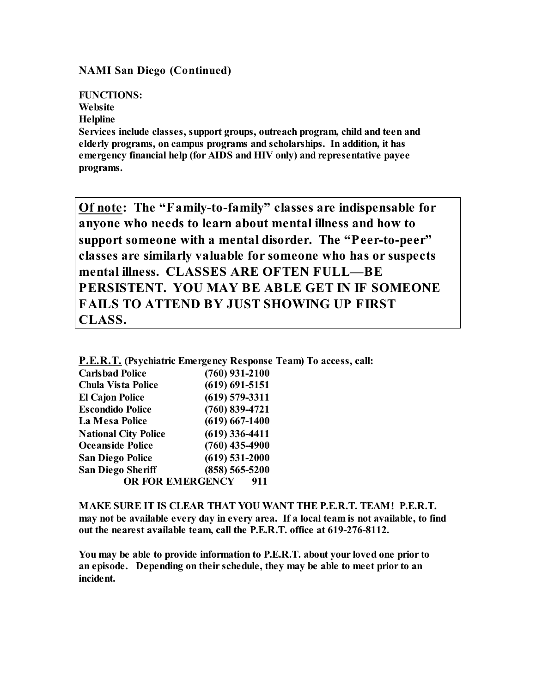## **NAMI San Diego (Continued)**

### **FUNCTIONS:**

**Website**

**Helpline**

**Services include classes, support groups, outreach program, child and teen and elderly programs, on campus programs and scholarships. In addition, it has emergency financial help (for AIDS and HIV only) and representative payee programs.**

**Of note: The "Family-to-family" classes are indispensable for anyone who needs to learn about mental illness and how to support someone with a mental disorder. The "Peer-to-peer" classes are similarly valuable for someone who has or suspects mental illness. CLASSES ARE OFTEN FULL—BE PERSISTENT. YOU MAY BE ABLE GET IN IF SOMEONE FAILS TO ATTEND BY JUST SHOWING UP FIRST CLASS.**

|  | <b>P.E.R.T.</b> (Psychiatric Emergency Response Team) To access, call: |  |  |  |
|--|------------------------------------------------------------------------|--|--|--|
|  |                                                                        |  |  |  |

| <b>Carlsbad Police</b>      | $(760)$ 931-2100   |
|-----------------------------|--------------------|
| <b>Chula Vista Police</b>   | $(619) 691 - 5151$ |
| <b>El Cajon Police</b>      | $(619)$ 579-3311   |
| <b>Escondido Police</b>     | $(760) 839 - 4721$ |
| La Mesa Police              | $(619) 667 - 1400$ |
| <b>National City Police</b> | $(619)$ 336-4411   |
| <b>Oceanside Police</b>     | $(760)$ 435-4900   |
| <b>San Diego Police</b>     | $(619)$ 531-2000   |
| <b>San Diego Sheriff</b>    | $(858) 565 - 5200$ |
| <b>OR FOR EMERGENCY</b>     | 911                |

**MAKE SURE IT IS CLEAR THAT YOU WANT THE P.E.R.T. TEAM! P.E.R.T. may not be available every day in every area. If a local team is not available, to find out the nearest available team, call the P.E.R.T. office at 619-276-8112.** 

**You may be able to provide information to P.E.R.T. about your loved one prior to an episode. Depending on their schedule, they may be able to meet prior to an incident.**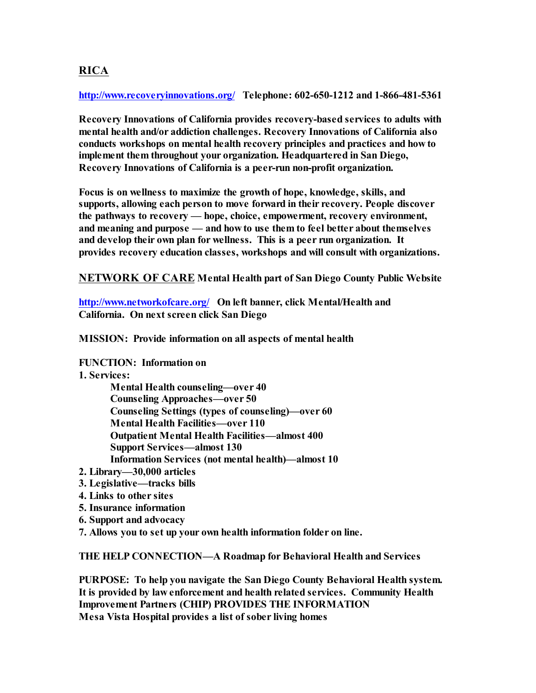# **RICA**

**[http://www.recoveryinnovations.org/](http://www.recoveryinnovations.org) Telephone: 602-650-1212 and 1-866-481-5361**

**Recovery Innovations of California provides recovery-based services to adults with mental health and/or addiction challenges. Recovery Innovations of California also conducts workshops on mental health recovery principles and practices and how to implement them throughout your organization. Headquartered in San Diego, Recovery Innovations of California is a peer-run non-profit organization.**

**Focus is on wellness to maximize the growth of hope, knowledge, skills, and supports, allowing each person to move forward in their recovery. People discover the pathways to recovery — hope, choice, empowerment, recovery environment, and meaning and purpose — and how to use them to feel better about themselves and develop their own plan for wellness. This is a peer run organization. It provides recovery education classes, workshops and will consult with organizations.**

**NETWORK OF CARE Mental Health part of San Diego County Public Website**

**[http://www.networkofcare.org/](http://www.networkofcare.org) On left banner, click Mental/Health and California. On next screen click San Diego**

**MISSION: Provide information on all aspects of mental health**

**FUNCTION: Information on**

**1. Services:**

**Mental Health counseling—over 40 Counseling Approaches—over 50 Counseling Settings (types of counseling)—over 60 Mental Health Facilities—over 110 Outpatient Mental Health Facilities—almost 400 Support Services—almost 130 Information Services (not mental health)—almost 10**

- **2. Library—30,000 articles**
- **3. Legislative—tracks bills**
- **4. Links to other sites**
- **5. Insurance information**
- **6. Support and advocacy**

**7. Allows you to set up your own health information folder on line.**

**THE HELP CONNECTION—A Roadmap for Behavioral Health and Services**

**PURPOSE: To help you navigate the San Diego County Behavioral Health system. It is provided by law enforcement and health related services. Community Health Improvement Partners (CHIP) PROVIDES THE INFORMATION Mesa Vista Hospital provides a list of sober living homes**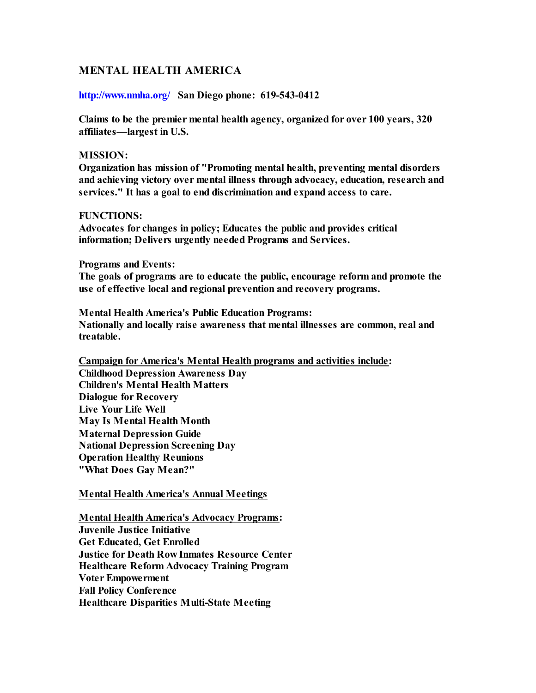# **MENTAL HEALTH AMERICA**

### **[http://www.nmha.org/](http://www.nmha.org) San Diego phone: 619-543-0412**

**Claims to be the premier mental health agency, organized for over 100 years, 320 affiliates—largest in U.S.**

#### **MISSION:**

**Organization has mission of "Promoting mental health, preventing mental disorders and achieving victory over mental illness through advocacy, education, research and services." It has a goal to end discrimination and expand access to care.**

#### **FUNCTIONS:**

**Advocates for changes in policy; Educates the public and provides critical information; Delivers urgently needed Programs and Services.** 

#### **Programs and Events:**

**The goals of programs are to educate the public, encourage reform and promote the use of effective local and regional prevention and recovery programs.**

**Mental Health America's Public Education Programs: Nationally and locally raise awareness that mental illnesses are common, real and treatable.** 

**Campaign for America's Mental Health programs and activities include:**

**Childhood Depression Awareness Day Children's Mental Health Matters Dialogue for Recovery Live Your Life Well May Is Mental Health Month Maternal Depression Guide National Depression Screening Day Operation Healthy Reunions "What Does Gay Mean?"**

### **Mental Health America's Annual Meetings**

**Mental Health America's Advocacy Programs: Juvenile Justice Initiative Get Educated, Get Enrolled Justice for Death Row Inmates Resource Center Healthcare Reform Advocacy Training Program Voter Empowerment Fall Policy Conference Healthcare Disparities Multi-State Meeting**